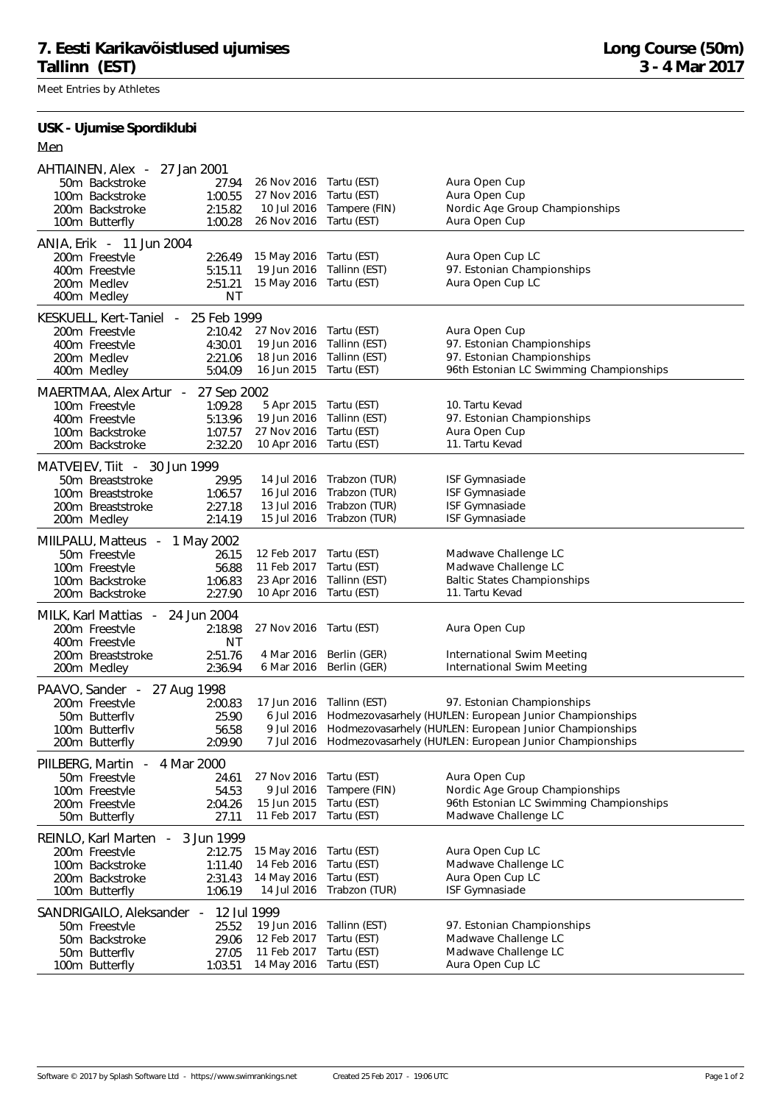Meet Entries by Athletes

**USK - Ujumise Spordiklubi**

## Men

| AHTIAINEN, Alex - 27 Jan 2001<br>50m Backstroke<br>100m Backstroke<br>200m Backstroke                        | 27.94<br>1:00.55<br>2:15.82                                                        | 26 Nov 2016<br>27 Nov 2016<br>10 Jul 2016<br>26 Nov 2016                | Tartu (EST)<br>Tartu (EST)<br>Tampere (FIN)<br>Tartu (EST)       | Aura Open Cup<br>Aura Open Cup<br>Nordic Age Group Championships<br>Aura Open Cup                                                                                                                                      |
|--------------------------------------------------------------------------------------------------------------|------------------------------------------------------------------------------------|-------------------------------------------------------------------------|------------------------------------------------------------------|------------------------------------------------------------------------------------------------------------------------------------------------------------------------------------------------------------------------|
| 100m Butterfly<br>ANJA, Erik - 11 Jun 2004<br>200m Freestyle<br>400m Freestyle<br>200m Medley<br>400m Medley | 1:00.28<br>2:26.49<br>5:15.11<br>2:51.21<br>ΝT                                     | 15 May 2016<br>19 Jun 2016<br>15 May 2016                               | Tartu (EST)<br>Tallinn (EST)<br>Tartu (EST)                      | Aura Open Cup LC<br>97. Estonian Championships<br>Aura Open Cup LC                                                                                                                                                     |
| KESKUELL, Kert-Taniel<br>200m Freestvle<br>400m Freestyle<br>200m Medlev<br>400m Medley                      | - 25 Feb 1999<br>2:10.42<br>4:30.01<br>2:21.06<br>5:04.09                          | 27 Nov 2016<br>19 Jun 2016<br>18 Jun 2016<br>16 Jun 2015                | Tartu (EST)<br>Tallinn (EST)<br>Tallinn (EST)<br>Tartu (EST)     | Aura Open Cup<br>97. Estonian Championships<br>97. Estonian Championships<br>96th Estonian LC Swimming Championships                                                                                                   |
| MAERTMAA, Alex Artur -<br>100m Freestyle<br>400m Freestyle<br>100m Backstroke<br>200m Backstroke             | 27 Sep 2002<br>1:09.28<br>5:13.96<br>1:07.57<br>2:32.20                            | 5 Apr 2015<br>19 Jun 2016<br>27 Nov 2016<br>10 Apr 2016                 | Tartu (EST)<br>Tallinn (EST)<br>Tartu (EST)<br>Tartu (EST)       | 10. Tartu Kevad<br>97. Estonian Championships<br>Aura Open Cup<br>11. Tartu Kevad                                                                                                                                      |
| MATVEJEV, Tiit - 30 Jun 1999<br>50m Breaststroke<br>100m Breaststroke<br>200m Breaststroke<br>200m Medley    | 29.95<br>1:06.57<br>2:27.18<br>2:14.19                                             | 14 Jul 2016<br>16 Jul 2016<br>13 Jul 2016<br>15 Jul 2016                | Trabzon (TUR)<br>Trabzon (TUR)<br>Trabzon (TUR)<br>Trabzon (TUR) | ISF Gymnasiade<br>ISF Gymnasiade<br>ISF Gymnasiade<br>ISF Gymnasiade                                                                                                                                                   |
| MIILPALU, Matteus - 1 May 2002<br>50m Freestyle<br>100m Freestvle<br>100m Backstroke<br>200m Backstroke      | 26.15<br>56.88<br>1:06.83<br>2:27.90                                               | 12 Feb 2017<br>11 Feb 2017<br>23 Apr 2016<br>10 Apr 2016                | Tartu (EST)<br>Tartu (EST)<br>Tallinn (EST)<br>Tartu (EST)       | Madwave Challenge LC<br>Madwave Challenge LC<br><b>Baltic States Championships</b><br>11. Tartu Kevad                                                                                                                  |
| MILK, Karl Mattias -<br>200m Freestyle<br>400m Freestyle<br>200m Breaststroke<br>200m Medley                 | 24 Jun 2004<br>2:18.98<br>ΝT<br>2:51.76<br>2:36.94                                 | 27 Nov 2016 Tartu (EST)<br>4 Mar 2016<br>6 Mar 2016                     | Berlin (GER)<br>Berlin (GER)                                     | Aura Open Cup<br>International Swim Meeting<br>International Swim Meeting                                                                                                                                              |
| PAAVO, Sander - 27 Aug 1998<br>200m Freestvle<br>50m Butterfly<br>100m Butterflv<br>200m Butterfly           | 2:00.83<br>25.90<br>56.58<br>2:09.90                                               | 17 Jun 2016<br>6 Jul 2016<br>7 Jul 2016                                 | Tallinn (EST)                                                    | 97. Estonian Championships<br>Hodmezovasarhely (HUILEN: European Junior Championships<br>9 Jul 2016 Hodmezovasarhely (HUILEN: European Junior Championships<br>Hodmezovasarhely (HUILEN: European Junior Championships |
| PIILBERG, Martin<br>50m Freestyle<br>100m Freestyle<br>200m Freestvle<br>50m Butterfly                       | 4 Mar 2000<br>24.61<br>54.53<br>2:04.26<br>27.11                                   | 27 Nov 2016<br>9 Jul 2016<br>15 Jun 2015<br>11 Feb 2017                 | Tartu (EST)<br>Tampere (FIN)<br>Tartu (EST)<br>Tartu (EST)       | Aura Open Cup<br>Nordic Age Group Championships<br>96th Estonian LC Swimming Championships<br>Madwave Challenge LC                                                                                                     |
| REINLO, Karl Marten<br>200m Freestyle<br>100m Backstroke<br>200m Backstroke<br>100m Butterfly                | 3 Jun 1999<br>$\overline{\phantom{a}}$<br>2:12.75<br>1:11.40<br>2:31.43<br>1:06.19 | 15 May 2016<br>14 Feb 2016<br>14 May 2016<br>14 Jul 2016                | Tartu (EST)<br>Tartu (EST)<br>Tartu (EST)<br>Trabzon (TUR)       | Aura Open Cup LC<br>Madwave Challenge LC<br>Aura Open Cup LC<br>ISF Gymnasiade                                                                                                                                         |
| SANDRIGAILO, Aleksander -<br>50m Freestvle<br>50m Backstroke<br>50m Butterfly<br>100m Butterfly              | 25.52<br>29.06<br>27.05<br>1:03.51                                                 | 12 Jul 1999<br>19 Jun 2016<br>12 Feb 2017<br>11 Feb 2017<br>14 May 2016 | Tallinn (EST)<br>Tartu (EST)<br>Tartu (EST)<br>Tartu (EST)       | 97. Estonian Championships<br>Madwave Challenge LC<br>Madwave Challenge LC<br>Aura Open Cup LC                                                                                                                         |